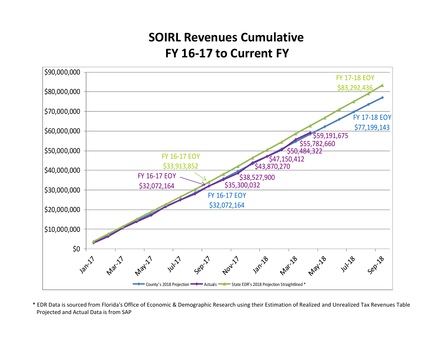## **SOIRL Revenues CumulativeFY 16‐17 to Current FY**



\* EDR Data is sourced from Florida's Office of Economic & Demographic Research using their Estimation of Realized and Unrealized Tax Revenues Table Projected and Actual Data is from SAP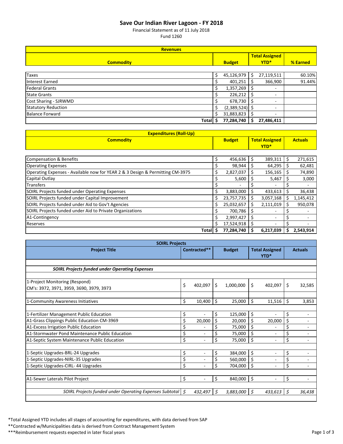## **Save Our Indian River Lagoon ‐ FY 2018**

Financial Statement as of 11 July 2018

Fund 1260

| <b>Revenues</b>            |               |                  |  |                          |          |  |  |  |
|----------------------------|---------------|------------------|--|--------------------------|----------|--|--|--|
|                            |               |                  |  | <b>Total Assigned</b>    |          |  |  |  |
| <b>Commodity</b>           | <b>Budget</b> |                  |  |                          | % Earned |  |  |  |
|                            |               |                  |  |                          |          |  |  |  |
| <b>Taxes</b>               | Ś             | 45,126,979       |  | 27,119,511               | 60.10%   |  |  |  |
| <b>Interest Earned</b>     |               | 401,251          |  | 366,900                  | 91.44%   |  |  |  |
| <b>Federal Grants</b>      |               | 1,357,269        |  | $\overline{\phantom{a}}$ |          |  |  |  |
| <b>State Grants</b>        |               | 226,212          |  | $\overline{\phantom{a}}$ |          |  |  |  |
| Cost Sharing - SJRWMD      |               | 678,730          |  | -                        |          |  |  |  |
| <b>Statutory Reduction</b> |               | $(2,389,524)$ \$ |  | -                        |          |  |  |  |
| <b>Balance Forward</b>     | Ś             | 31,883,823       |  | ٠                        |          |  |  |  |
| <b>Total</b>               |               | 77,284,740       |  | 27,486,411               |          |  |  |  |

| <b>Expenditures (Roll-Up)</b>                                                 |    |               |      |                       |  |                |  |
|-------------------------------------------------------------------------------|----|---------------|------|-----------------------|--|----------------|--|
| <b>Commodity</b>                                                              |    | <b>Budget</b> |      | <b>Total Assigned</b> |  | <b>Actuals</b> |  |
|                                                                               |    |               | YTD* |                       |  |                |  |
|                                                                               |    |               |      |                       |  |                |  |
| Compensation & Benefits                                                       | \$ | 456,636       | Ś    | 389,311               |  | 271,615        |  |
| <b>Operating Expenses</b>                                                     |    | 98,944        | ↘    | 64,295                |  | 62,481         |  |
| Operating Expenses - Available now for YEAR 2 & 3 Design & Permitting CM-3975 | \$ | 2,827,037     | S    | 156,165               |  | 74,890         |  |
| Capital Outlay                                                                |    | 5,600         |      | 5,467                 |  | 3,000          |  |
| <b>Transfers</b>                                                              |    |               |      |                       |  |                |  |
| <b>SOIRL Projects funded under Operating Expenses</b>                         |    | 3,883,000     |      | 433,613               |  | 36,438         |  |
| SOIRL Projects funded under Capital Improvement                               | \$ | 23,757,735    | \$   | 3,057,168             |  | 1,145,412      |  |
| SOIRL Projects funded under Aid to Gov't Agencies                             | \$ | 25,032,657    | Ś    | 2,111,019             |  | 950,078        |  |
| SOIRL Projects funded under Aid to Private Organizations                      |    | 700,786       |      |                       |  |                |  |
| A1-Contingency                                                                |    | 2,997,427     |      | ٠                     |  |                |  |
| Reserves                                                                      | Ś  | 17,524,918    |      |                       |  |                |  |
| Total                                                                         |    | 77,284,740    | s    | 6,217,039             |  | 2,543,914      |  |

| <b>SOIRL Projects</b>                                                                            |              |                                          |               |                    |                               |                          |          |                          |
|--------------------------------------------------------------------------------------------------|--------------|------------------------------------------|---------------|--------------------|-------------------------------|--------------------------|----------|--------------------------|
| <b>Project Title</b>                                                                             | Contracted** |                                          | <b>Budget</b> |                    | <b>Total Assigned</b><br>YTD* |                          |          | <b>Actuals</b>           |
| <b>SOIRL Projects funded under Operating Expenses</b>                                            |              |                                          |               |                    |                               |                          |          |                          |
| 1-Project Monitoring (Respond)<br>CM's: 3972, 3971, 3959, 3690, 3979, 3973                       | \$           | 402,097                                  | \$            | 1,000,000          | \$                            | 402,097                  | \$       | 32,585                   |
| 1-Community Awareness Initiatives                                                                | \$           | 10,400                                   | Ŝ.            | 25,000             | \$                            | 11,516                   | Ś        | 3,853                    |
| 1-Fertilizer Management Public Education<br>A1-Grass Clippings Public Education CM-3969          | \$<br>\$     | ÷<br>20,000                              | \$<br>\$      | 125,000<br>20,000  | \$<br>\$                      | $\blacksquare$<br>20,000 | \$<br>\$ | $\blacksquare$           |
| A1-Excess Irrigation Public Education                                                            | \$           | ٠                                        | Ś             | 75,000             | \$                            |                          | Ś        |                          |
| A1-Stormwater Pond Maintenance Public Education<br>A1-Septic System Maintenance Public Education | \$<br>\$     | $\sim$                                   | \$            | 75,000<br>75,000   | \$<br>\$                      | $\overline{\phantom{a}}$ | Ś        | $\overline{\phantom{a}}$ |
| 1-Septic Upgrades-BRL-24 Upgrades                                                                | \$           | $\sim$                                   | \$            | 384,000            | \$                            | $\blacksquare$           | \$       |                          |
| 1-Septic Upgrades-NIRL-35 Upgrades<br>1-Septic Upgrades-CIRL- 44 Upgrades                        | \$<br>\$     | $\mathbf{r}$<br>$\overline{\phantom{a}}$ | Ś             | 560,000<br>704,000 | \$<br>\$                      | $\overline{\phantom{a}}$ | Ś        | $\blacksquare$           |
| A1-Sewer Laterals Pilot Project                                                                  | Ś.           | ÷                                        | \$            | 840,000            | \$                            | ÷.                       | \$       | $\overline{\phantom{a}}$ |
| SOIRL Projects funded under Operating Expenses Subtotal   \$                                     |              | 432,497                                  | Ś.            | 3,883,000          | Ś                             | 433,613                  | Ś.       | 36,438                   |

\*Total Assigned YTD includes all stages of accounting for expenditures, with data derived from SAP

\*\*Contracted w/Municipalities data is derived from Contract Management System

\*\*\*Reimbursement requests expected in later fiscal years **Page 1** of 3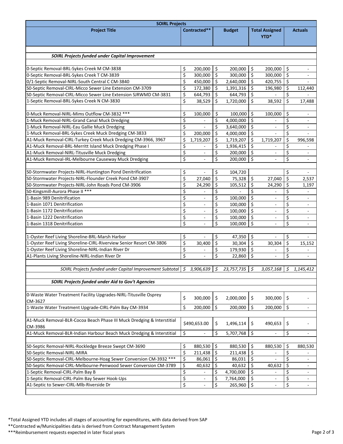| <b>Project Title</b>                                                              |          | Contracted**                                         |                |                        |          |                                                      |          |                                                      |
|-----------------------------------------------------------------------------------|----------|------------------------------------------------------|----------------|------------------------|----------|------------------------------------------------------|----------|------------------------------------------------------|
|                                                                                   |          |                                                      |                | <b>Budget</b>          |          | <b>Total Assigned</b>                                |          | <b>Actuals</b>                                       |
|                                                                                   |          |                                                      |                |                        |          | YTD*                                                 |          |                                                      |
|                                                                                   |          |                                                      |                |                        |          |                                                      |          |                                                      |
|                                                                                   |          |                                                      |                |                        |          |                                                      |          |                                                      |
| <b>SOIRL Projects funded under Capital Improvement</b>                            |          |                                                      |                |                        |          |                                                      |          |                                                      |
| 0-Septic Removal-BRL-Sykes Creek M CM-3838                                        | \$       | 200,000                                              | \$             | 200,000                | \$       | 200,000                                              | \$       | $\overline{\phantom{a}}$                             |
| 0-Septic Removal-BRL-Sykes Creek T CM-3839                                        | \$       | 300,000                                              | \$             | 300,000                | \$       | 300,000                                              | \$       | $\overline{\phantom{a}}$                             |
| 0/1-Septic Removal-NIRL-South Central C CM-3840                                   | \$       | 450,000                                              | \$             | 2,640,000              | \$       | 420,755                                              | \$       | $\overline{a}$                                       |
| S0-Septic Removal-CIRL-Micco Sewer Line Extension CM-3709                         | \$       | 172,380                                              | \$             | 1,391,316              | \$       | 196,980                                              | \$       | 112,440                                              |
| S0-Septic Removal-CIRL-Micco Sewer Line Extension SJRWMD CM-3831                  | \$       | 644,793                                              | \$             | 644,793                | \$       |                                                      | \$       |                                                      |
| 1-Septic Removal-BRL-Sykes Creek N CM-3830                                        | \$       | 38,529                                               | \$             | 1,720,000              | \$       | 38,592                                               | \$       | 17,488                                               |
|                                                                                   |          |                                                      |                |                        |          |                                                      |          |                                                      |
| 0-Muck Removal-NIRL-Mims Outflow CM-3832 ***                                      | \$       | 100,000                                              | \$             | 100,000                | \$       | 100,000                                              | \$       |                                                      |
| 1-Muck Removal-NIRL-Grand Canal Muck Dredging                                     | \$       |                                                      | \$             | 4,000,000              | \$       |                                                      | \$       |                                                      |
| 1-Muck Removal-NIRL-Eau Gallie Muck Dredging                                      | \$       |                                                      | \$             | 3,640,000              | \$       | $\overline{\phantom{a}}$                             | \$       | ÷,                                                   |
| 1-Muck Removal-BRL-Sykes Creek Muck Dredging CM-3833                              | \$       | 200,000                                              | \$             | 4,000,000              | \$       | ÷.                                                   | \$       |                                                      |
| A1-Muck Removal-CIRL-Turkey Creek Muck Dredging CM-3966, 3967                     | \$       | 1,719,207                                            | \$             | 1,719,207              | \$       | 1,719,207                                            | $\zeta$  | 996,598                                              |
| A1-Muck Removal-BRL-Merritt Island Muck Dredging Phase I                          | \$       |                                                      | \$             | 1,936,415              | \$       | $\overline{\phantom{a}}$                             | \$       | $\overline{\phantom{a}}$                             |
| A1-Muck Removal-NIRL-Titusville Muck Dredging                                     | \$       | $\overline{\phantom{0}}$                             | \$             | 200,000                | \$       | $\overline{\phantom{a}}$                             | \$       | $\overline{\phantom{a}}$                             |
| A1-Muck Removal-IRL-Melbourne Causeway Muck Dredging                              | \$       |                                                      | \$             | 200,000                | \$       |                                                      | \$       | $\overline{\phantom{a}}$                             |
|                                                                                   |          |                                                      |                |                        |          |                                                      |          |                                                      |
| S0-Stormwater Projects-NIRL-Huntington Pond Denitrification                       | \$       | ä,                                                   | \$             | 104,720                |          |                                                      | \$       |                                                      |
| S0-Stormwater Projects-NIRL-Flounder Creek Pond CM-3907                           | \$       | 27,040                                               | \$             | 75,328                 | \$       | 27,040                                               | \$       | 2,537                                                |
| S0-Stormwater Projects-NIRL-John Roads Pond CM-3906                               | \$       | 24,290                                               | \$             | 105,512                | \$       | 24,290                                               | \$       | 1,197                                                |
| S0-Kingsmill-Aurora Phase II ***                                                  | \$       |                                                      | \$             |                        | \$       |                                                      | \$       |                                                      |
| 1-Basin 989 Denitrification                                                       | \$       |                                                      | \$             | 100,000                | \$       |                                                      | \$       |                                                      |
| 1-Basin 1071 Denitrification                                                      | \$       |                                                      | \$             | 100,000                | \$       |                                                      | \$       | $\overline{\phantom{a}}$                             |
| 1-Basin 1172 Denitrification                                                      | \$       | ÷,                                                   | \$             | 100,000                | \$       | $\overline{a}$                                       | \$       | $\overline{\phantom{a}}$                             |
| 1-Basin 1222 Denitrification                                                      | \$       | $\overline{\phantom{a}}$                             | \$             | 100,000                | \$       | $\overline{\phantom{a}}$                             | \$       | $\overline{\phantom{a}}$                             |
| 1-Basin 1318 Denitrification                                                      | \$       | $\overline{a}$                                       | \$             | 100,000                | \$       | $\overline{\phantom{a}}$                             | \$       | $\overline{\phantom{a}}$                             |
| 1-Oyster Reef Living Shoreline-BRL-Marsh Harbor                                   | \$       |                                                      | \$             | 47,350                 | \$       | $\overline{\phantom{a}}$                             | \$       |                                                      |
| 1-Oyster Reef Living Shoreline-CIRL-Riverview Senior Resort CM-3806               | \$       | 30,400                                               | \$             | 30,304                 | \$       | 30,304                                               | \$       | 15,152                                               |
| 1-Oyster Reef Living Shoreline-NIRL-Indian River Dr                               | \$       |                                                      | \$             | 179,930                | \$       | ÷,                                                   | \$       |                                                      |
| A1-Plants Living Shoreline-NIRL-Indian River Dr                                   | \$       |                                                      | \$             | 22,860                 | \$       |                                                      | \$       |                                                      |
|                                                                                   |          |                                                      |                |                        |          |                                                      |          |                                                      |
| SOIRL Projects funded under Capital Improvement Subtotal   \$                     |          | 3,906,639                                            | $\mathfrak{S}$ | $23,757,735$ \$        |          | $3,057,168$ \$                                       |          | 1,145,412                                            |
|                                                                                   |          |                                                      |                |                        |          |                                                      |          |                                                      |
| SOIRL Projects funded under Aid to Gov't Agencies                                 |          |                                                      |                |                        |          |                                                      |          |                                                      |
|                                                                                   |          |                                                      |                |                        |          |                                                      |          |                                                      |
| 0-Waste Water Treatment Facility Upgrades-NIRL-Titusville Osprey                  | \$       | 300,000                                              | \$             | 2,000,000              | \$       | 300,000                                              | $\zeta$  |                                                      |
| CM-3627                                                                           |          |                                                      |                |                        |          |                                                      |          |                                                      |
| 1-Waste Water Treatment Upgrade-CIRL-Palm Bay CM-3934                             | \$       | 200,000                                              | \$             | 200,000                | \$       | 200,000                                              | \$       | $\overline{\phantom{a}}$                             |
|                                                                                   |          |                                                      |                |                        |          |                                                      |          |                                                      |
| A1-Muck Removal-BLR-Cocoa Beach Phase III Muck Dredging & Interstitial            |          | \$490,653.00                                         | \$             | 1,496,114              | \$       | 490,653                                              | \$       |                                                      |
| CM-3986                                                                           |          |                                                      |                |                        |          |                                                      |          |                                                      |
| A1-Muck Removal-BLR-Indian Harbour Beach Muck Dredging & Interstitial             | \$       |                                                      | \$             | 5,707,768              | \$       | $\overline{a}$                                       | \$       | $\overline{\phantom{a}}$                             |
|                                                                                   |          |                                                      |                |                        |          |                                                      |          |                                                      |
| S0-Septic Removal-NIRL-Rockledge Breeze Swept CM-3690                             | \$       | 880,530                                              | \$             | 880,530                | \$       | 880,530                                              | \$       | 880,530                                              |
| S0-Septic Removal-NIRL-MIRA                                                       | \$       | 211,438                                              | \$             | 211,438                | \$       |                                                      | \$       |                                                      |
| S0-Septic Removal-CIRL-Melbourne-Hoag Sewer Conversion CM-3932 ***                | \$       | 86,061                                               | \$             | 86,031                 | \$       |                                                      | Ś.       | $\overline{a}$                                       |
| S0-Septic Removal-CIRL-Melbourne-Penwood Sewer Conversion CM-3789                 | \$       | 40,632                                               | \$             | 40,632                 | \$       | 40,632                                               | $\zeta$  | $\overline{\phantom{a}}$                             |
| 1-Septic Removal-CIRL-Palm Bay B<br>1-Septic Removal-CIRL-Palm Bay Sewer Hook-Ups | \$<br>\$ | $\overline{\phantom{a}}$<br>$\overline{\phantom{a}}$ | \$<br>\$       | 4,700,000<br>7,764,000 | \$<br>\$ | $\overline{\phantom{a}}$                             | \$<br>\$ | $\overline{\phantom{a}}$                             |
| A1-Septic to Sewer-CIRL-MIb-Riverside Dr                                          | \$       | $\overline{\phantom{0}}$                             | \$             | 265,960                | \$       | $\overline{\phantom{a}}$<br>$\overline{\phantom{a}}$ | \$       | $\overline{\phantom{a}}$<br>$\overline{\phantom{a}}$ |
|                                                                                   |          |                                                      |                |                        |          |                                                      |          |                                                      |

\*Total Assigned YTD includes all stages of accounting for expenditures, with data derived from SAP

\*\*Contracted w/Municipalities data is derived from Contract Management System

\*\*\*Reimbursement requests expected in later fiscal years **Page 2 of 3** and 2 of 3